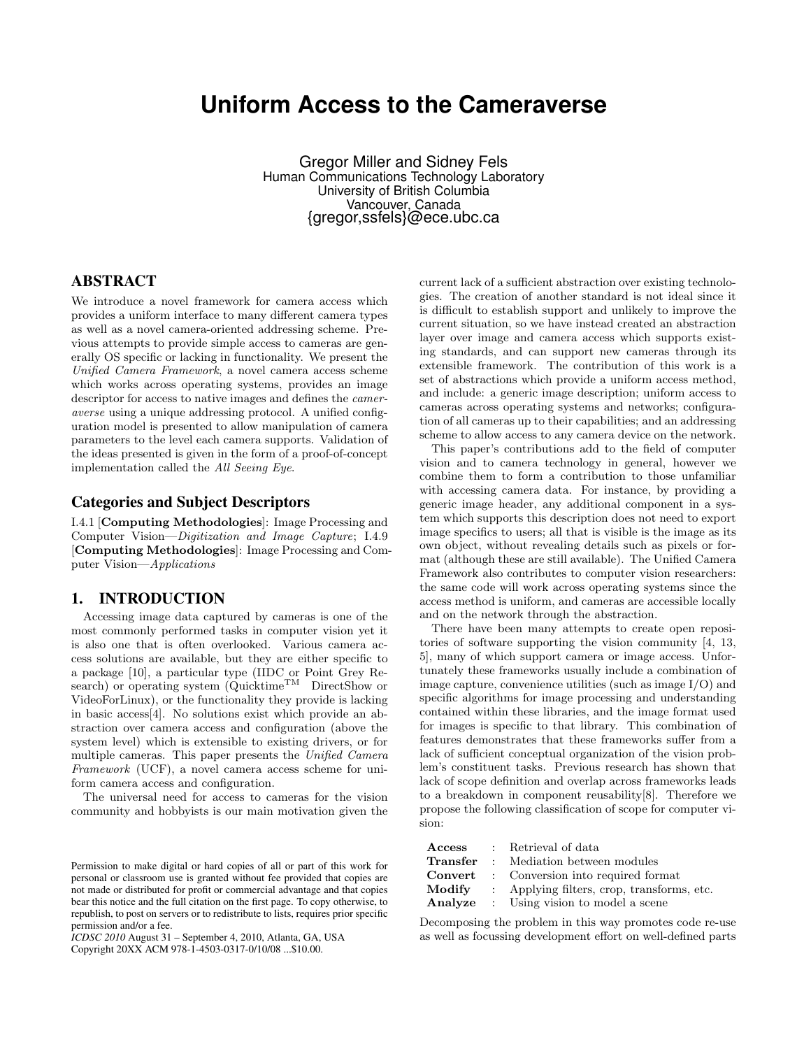# **Uniform Access to the Cameraverse**

Gregor Miller and Sidney Fels Human Communications Technology Laboratory University of British Columbia Vancouver, Canada {gregor,ssfels}@ece.ubc.ca

# ABSTRACT

We introduce a novel framework for camera access which provides a uniform interface to many different camera types as well as a novel camera-oriented addressing scheme. Previous attempts to provide simple access to cameras are generally OS specific or lacking in functionality. We present the Unified Camera Framework, a novel camera access scheme which works across operating systems, provides an image descriptor for access to native images and defines the cameraverse using a unique addressing protocol. A unified configuration model is presented to allow manipulation of camera parameters to the level each camera supports. Validation of the ideas presented is given in the form of a proof-of-concept implementation called the All Seeing Eye.

## Categories and Subject Descriptors

I.4.1 [Computing Methodologies]: Image Processing and Computer Vision—Digitization and Image Capture; I.4.9 [Computing Methodologies]: Image Processing and Computer Vision—Applications

## 1. INTRODUCTION

Accessing image data captured by cameras is one of the most commonly performed tasks in computer vision yet it is also one that is often overlooked. Various camera access solutions are available, but they are either specific to a package [10], a particular type (IIDC or Point Grey Research) or operating system (Quicktime<sup>TM</sup> DirectShow or VideoForLinux), or the functionality they provide is lacking in basic access[4]. No solutions exist which provide an abstraction over camera access and configuration (above the system level) which is extensible to existing drivers, or for multiple cameras. This paper presents the Unified Camera Framework (UCF), a novel camera access scheme for uniform camera access and configuration.

The universal need for access to cameras for the vision community and hobbyists is our main motivation given the

*ICDSC 2010* August 31 – September 4, 2010, Atlanta, GA, USA

Copyright 20XX ACM 978-1-4503-0317-0/10/08 ...\$10.00.

current lack of a sufficient abstraction over existing technologies. The creation of another standard is not ideal since it is difficult to establish support and unlikely to improve the current situation, so we have instead created an abstraction layer over image and camera access which supports existing standards, and can support new cameras through its extensible framework. The contribution of this work is a set of abstractions which provide a uniform access method, and include: a generic image description; uniform access to cameras across operating systems and networks; configuration of all cameras up to their capabilities; and an addressing scheme to allow access to any camera device on the network.

This paper's contributions add to the field of computer vision and to camera technology in general, however we combine them to form a contribution to those unfamiliar with accessing camera data. For instance, by providing a generic image header, any additional component in a system which supports this description does not need to export image specifics to users; all that is visible is the image as its own object, without revealing details such as pixels or format (although these are still available). The Unified Camera Framework also contributes to computer vision researchers: the same code will work across operating systems since the access method is uniform, and cameras are accessible locally and on the network through the abstraction.

There have been many attempts to create open repositories of software supporting the vision community [4, 13, 5], many of which support camera or image access. Unfortunately these frameworks usually include a combination of image capture, convenience utilities (such as image I/O) and specific algorithms for image processing and understanding contained within these libraries, and the image format used for images is specific to that library. This combination of features demonstrates that these frameworks suffer from a lack of sufficient conceptual organization of the vision problem's constituent tasks. Previous research has shown that lack of scope definition and overlap across frameworks leads to a breakdown in component reusability[8]. Therefore we propose the following classification of scope for computer vision:

|  | <b>Access</b> : Retrieval of data                        |  |
|--|----------------------------------------------------------|--|
|  | <b>Transfer</b> : Mediation between modules              |  |
|  | <b>Convert</b> : Conversion into required format         |  |
|  | <b>Modify</b> : Applying filters, crop, transforms, etc. |  |
|  | <b>Analyze</b> : Using vision to model a scene           |  |

Decomposing the problem in this way promotes code re-use as well as focussing development effort on well-defined parts

Permission to make digital or hard copies of all or part of this work for personal or classroom use is granted without fee provided that copies are not made or distributed for profit or commercial advantage and that copies bear this notice and the full citation on the first page. To copy otherwise, to republish, to post on servers or to redistribute to lists, requires prior specific permission and/or a fee.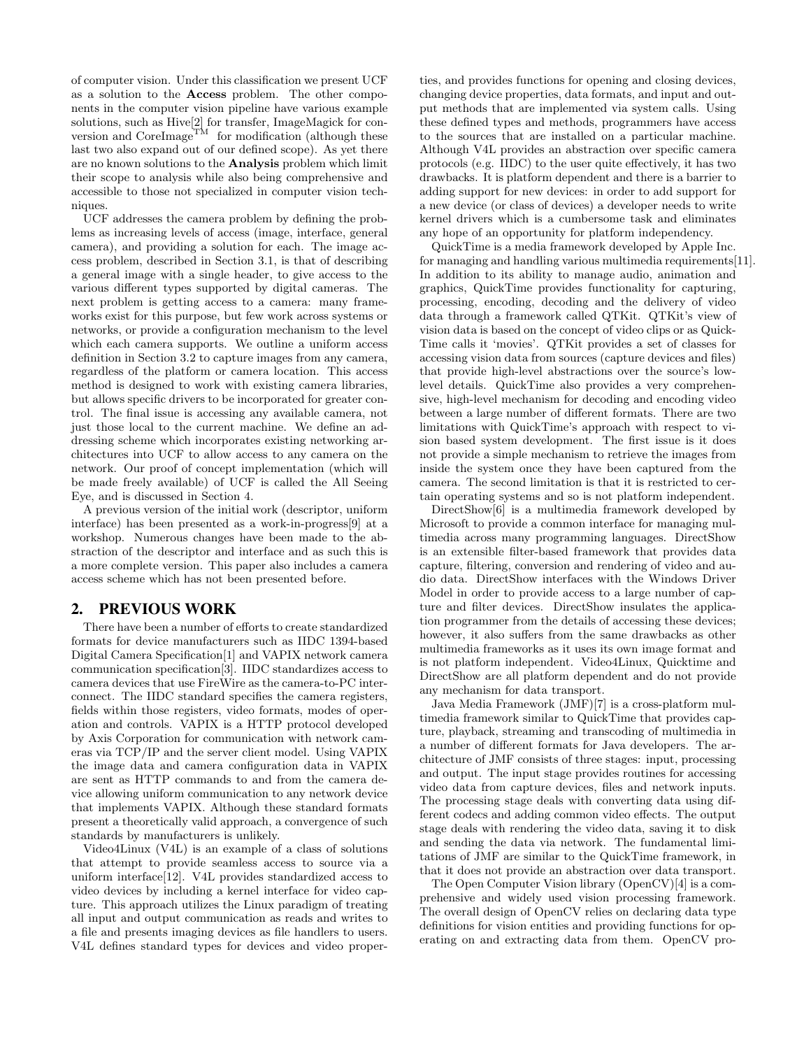of computer vision. Under this classification we present UCF as a solution to the Access problem. The other components in the computer vision pipeline have various example solutions, such as Hive[2] for transfer, ImageMagick for conversion and CoreImage<sup>TM</sup> for modification (although these last two also expand out of our defined scope). As yet there are no known solutions to the Analysis problem which limit their scope to analysis while also being comprehensive and accessible to those not specialized in computer vision techniques.

UCF addresses the camera problem by defining the problems as increasing levels of access (image, interface, general camera), and providing a solution for each. The image access problem, described in Section 3.1, is that of describing a general image with a single header, to give access to the various different types supported by digital cameras. The next problem is getting access to a camera: many frameworks exist for this purpose, but few work across systems or networks, or provide a configuration mechanism to the level which each camera supports. We outline a uniform access definition in Section 3.2 to capture images from any camera, regardless of the platform or camera location. This access method is designed to work with existing camera libraries, but allows specific drivers to be incorporated for greater control. The final issue is accessing any available camera, not just those local to the current machine. We define an addressing scheme which incorporates existing networking architectures into UCF to allow access to any camera on the network. Our proof of concept implementation (which will be made freely available) of UCF is called the All Seeing Eye, and is discussed in Section 4.

A previous version of the initial work (descriptor, uniform interface) has been presented as a work-in-progress[9] at a workshop. Numerous changes have been made to the abstraction of the descriptor and interface and as such this is a more complete version. This paper also includes a camera access scheme which has not been presented before.

## 2. PREVIOUS WORK

There have been a number of efforts to create standardized formats for device manufacturers such as IIDC 1394-based Digital Camera Specification[1] and VAPIX network camera communication specification[3]. IIDC standardizes access to camera devices that use FireWire as the camera-to-PC interconnect. The IIDC standard specifies the camera registers, fields within those registers, video formats, modes of operation and controls. VAPIX is a HTTP protocol developed by Axis Corporation for communication with network cameras via TCP/IP and the server client model. Using VAPIX the image data and camera configuration data in VAPIX are sent as HTTP commands to and from the camera device allowing uniform communication to any network device that implements VAPIX. Although these standard formats present a theoretically valid approach, a convergence of such standards by manufacturers is unlikely.

Video4Linux (V4L) is an example of a class of solutions that attempt to provide seamless access to source via a uniform interface[12]. V4L provides standardized access to video devices by including a kernel interface for video capture. This approach utilizes the Linux paradigm of treating all input and output communication as reads and writes to a file and presents imaging devices as file handlers to users. V4L defines standard types for devices and video properties, and provides functions for opening and closing devices, changing device properties, data formats, and input and output methods that are implemented via system calls. Using these defined types and methods, programmers have access to the sources that are installed on a particular machine. Although V4L provides an abstraction over specific camera protocols (e.g. IIDC) to the user quite effectively, it has two drawbacks. It is platform dependent and there is a barrier to adding support for new devices: in order to add support for a new device (or class of devices) a developer needs to write kernel drivers which is a cumbersome task and eliminates any hope of an opportunity for platform independency.

QuickTime is a media framework developed by Apple Inc. for managing and handling various multimedia requirements[11]. In addition to its ability to manage audio, animation and graphics, QuickTime provides functionality for capturing, processing, encoding, decoding and the delivery of video data through a framework called QTKit. QTKit's view of vision data is based on the concept of video clips or as Quick-Time calls it 'movies'. QTKit provides a set of classes for accessing vision data from sources (capture devices and files) that provide high-level abstractions over the source's lowlevel details. QuickTime also provides a very comprehensive, high-level mechanism for decoding and encoding video between a large number of different formats. There are two limitations with QuickTime's approach with respect to vision based system development. The first issue is it does not provide a simple mechanism to retrieve the images from inside the system once they have been captured from the camera. The second limitation is that it is restricted to certain operating systems and so is not platform independent.

DirectShow[6] is a multimedia framework developed by Microsoft to provide a common interface for managing multimedia across many programming languages. DirectShow is an extensible filter-based framework that provides data capture, filtering, conversion and rendering of video and audio data. DirectShow interfaces with the Windows Driver Model in order to provide access to a large number of capture and filter devices. DirectShow insulates the application programmer from the details of accessing these devices; however, it also suffers from the same drawbacks as other multimedia frameworks as it uses its own image format and is not platform independent. Video4Linux, Quicktime and DirectShow are all platform dependent and do not provide any mechanism for data transport.

Java Media Framework (JMF)[7] is a cross-platform multimedia framework similar to QuickTime that provides capture, playback, streaming and transcoding of multimedia in a number of different formats for Java developers. The architecture of JMF consists of three stages: input, processing and output. The input stage provides routines for accessing video data from capture devices, files and network inputs. The processing stage deals with converting data using different codecs and adding common video effects. The output stage deals with rendering the video data, saving it to disk and sending the data via network. The fundamental limitations of JMF are similar to the QuickTime framework, in that it does not provide an abstraction over data transport.

The Open Computer Vision library (OpenCV)[4] is a comprehensive and widely used vision processing framework. The overall design of OpenCV relies on declaring data type definitions for vision entities and providing functions for operating on and extracting data from them. OpenCV pro-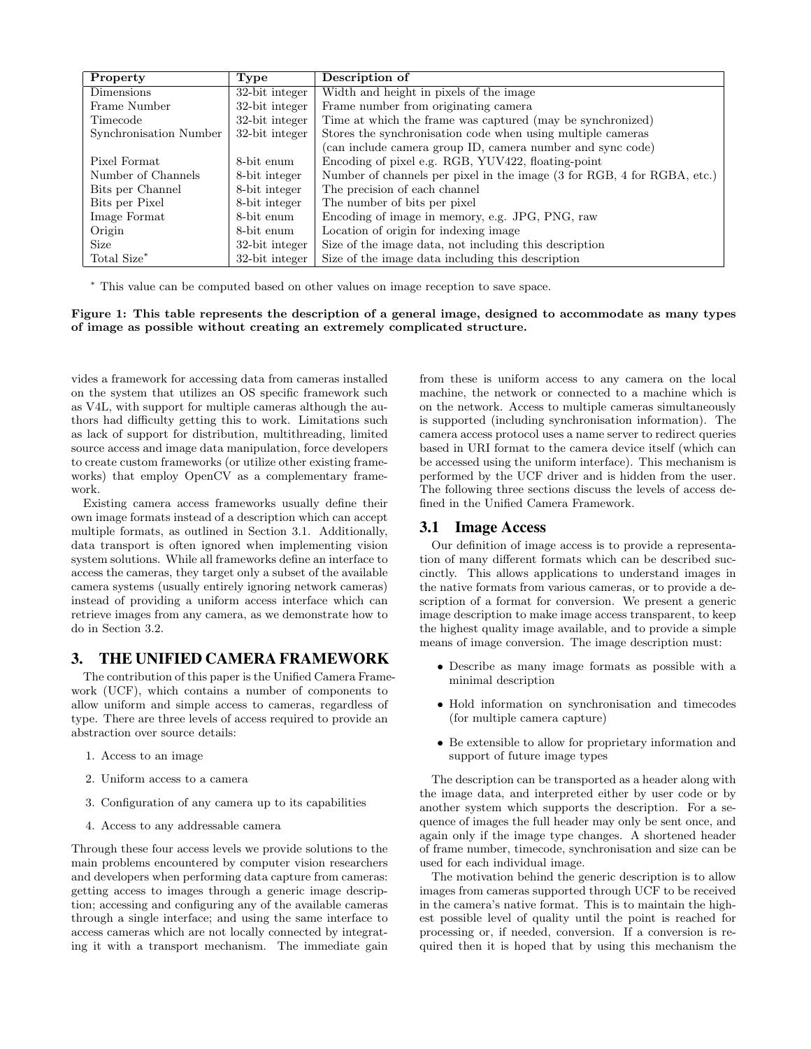| Property               | Type           | Description of                                                          |  |
|------------------------|----------------|-------------------------------------------------------------------------|--|
| Dimensions             | 32-bit integer | Width and height in pixels of the image                                 |  |
| Frame Number           | 32-bit integer | Frame number from originating camera                                    |  |
| Timecode               | 32-bit integer | Time at which the frame was captured (may be synchronized)              |  |
| Synchronisation Number | 32-bit integer | Stores the synchronisation code when using multiple cameras             |  |
|                        |                | (can include camera group ID, camera number and sync code)              |  |
| Pixel Format           | 8-bit enum     | Encoding of pixel e.g. RGB, YUV422, floating-point                      |  |
| Number of Channels     | 8-bit integer  | Number of channels per pixel in the image (3 for RGB, 4 for RGBA, etc.) |  |
| Bits per Channel       | 8-bit integer  | The precision of each channel                                           |  |
| Bits per Pixel         | 8-bit integer  | The number of bits per pixel                                            |  |
| Image Format           | 8-bit enum     | Encoding of image in memory, e.g. JPG, PNG, raw                         |  |
| Origin                 | 8-bit enum     | Location of origin for indexing image                                   |  |
| Size                   | 32-bit integer | Size of the image data, not including this description                  |  |
| Total Size*            | 32-bit integer | Size of the image data including this description                       |  |

<sup>∗</sup> This value can be computed based on other values on image reception to save space.

#### Figure 1: This table represents the description of a general image, designed to accommodate as many types of image as possible without creating an extremely complicated structure.

vides a framework for accessing data from cameras installed on the system that utilizes an OS specific framework such as V4L, with support for multiple cameras although the authors had difficulty getting this to work. Limitations such as lack of support for distribution, multithreading, limited source access and image data manipulation, force developers to create custom frameworks (or utilize other existing frameworks) that employ OpenCV as a complementary framework.

Existing camera access frameworks usually define their own image formats instead of a description which can accept multiple formats, as outlined in Section 3.1. Additionally, data transport is often ignored when implementing vision system solutions. While all frameworks define an interface to access the cameras, they target only a subset of the available camera systems (usually entirely ignoring network cameras) instead of providing a uniform access interface which can retrieve images from any camera, as we demonstrate how to do in Section 3.2.

#### 3. THE UNIFIED CAMERA FRAMEWORK

The contribution of this paper is the Unified Camera Framework (UCF), which contains a number of components to allow uniform and simple access to cameras, regardless of type. There are three levels of access required to provide an abstraction over source details:

- 1. Access to an image
- 2. Uniform access to a camera
- 3. Configuration of any camera up to its capabilities
- 4. Access to any addressable camera

Through these four access levels we provide solutions to the main problems encountered by computer vision researchers and developers when performing data capture from cameras: getting access to images through a generic image description; accessing and configuring any of the available cameras through a single interface; and using the same interface to access cameras which are not locally connected by integrating it with a transport mechanism. The immediate gain from these is uniform access to any camera on the local machine, the network or connected to a machine which is on the network. Access to multiple cameras simultaneously is supported (including synchronisation information). The camera access protocol uses a name server to redirect queries based in URI format to the camera device itself (which can be accessed using the uniform interface). This mechanism is performed by the UCF driver and is hidden from the user. The following three sections discuss the levels of access defined in the Unified Camera Framework.

#### 3.1 Image Access

Our definition of image access is to provide a representation of many different formats which can be described succinctly. This allows applications to understand images in the native formats from various cameras, or to provide a description of a format for conversion. We present a generic image description to make image access transparent, to keep the highest quality image available, and to provide a simple means of image conversion. The image description must:

- Describe as many image formats as possible with a minimal description
- Hold information on synchronisation and timecodes (for multiple camera capture)
- Be extensible to allow for proprietary information and support of future image types

The description can be transported as a header along with the image data, and interpreted either by user code or by another system which supports the description. For a sequence of images the full header may only be sent once, and again only if the image type changes. A shortened header of frame number, timecode, synchronisation and size can be used for each individual image.

The motivation behind the generic description is to allow images from cameras supported through UCF to be received in the camera's native format. This is to maintain the highest possible level of quality until the point is reached for processing or, if needed, conversion. If a conversion is required then it is hoped that by using this mechanism the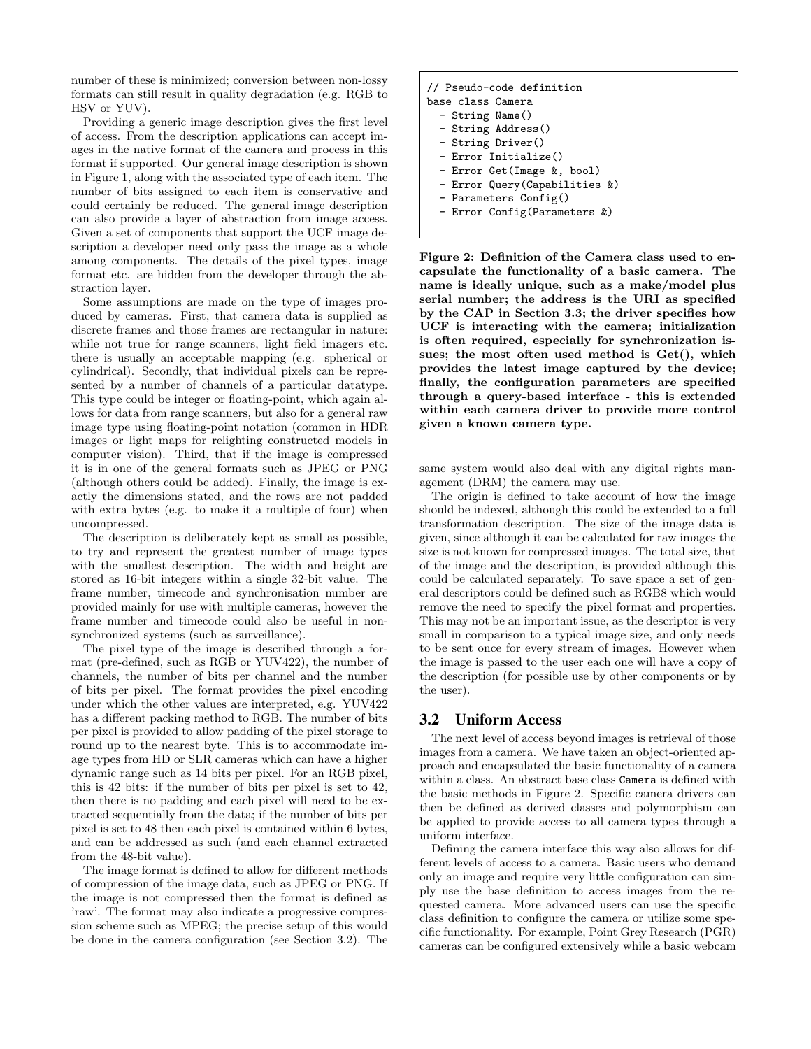number of these is minimized; conversion between non-lossy formats can still result in quality degradation (e.g. RGB to HSV or YUV).

Providing a generic image description gives the first level of access. From the description applications can accept images in the native format of the camera and process in this format if supported. Our general image description is shown in Figure 1, along with the associated type of each item. The number of bits assigned to each item is conservative and could certainly be reduced. The general image description can also provide a layer of abstraction from image access. Given a set of components that support the UCF image description a developer need only pass the image as a whole among components. The details of the pixel types, image format etc. are hidden from the developer through the abstraction layer.

Some assumptions are made on the type of images produced by cameras. First, that camera data is supplied as discrete frames and those frames are rectangular in nature: while not true for range scanners, light field imagers etc. there is usually an acceptable mapping (e.g. spherical or cylindrical). Secondly, that individual pixels can be represented by a number of channels of a particular datatype. This type could be integer or floating-point, which again allows for data from range scanners, but also for a general raw image type using floating-point notation (common in HDR images or light maps for relighting constructed models in computer vision). Third, that if the image is compressed it is in one of the general formats such as JPEG or PNG (although others could be added). Finally, the image is exactly the dimensions stated, and the rows are not padded with extra bytes (e.g. to make it a multiple of four) when uncompressed.

The description is deliberately kept as small as possible, to try and represent the greatest number of image types with the smallest description. The width and height are stored as 16-bit integers within a single 32-bit value. The frame number, timecode and synchronisation number are provided mainly for use with multiple cameras, however the frame number and timecode could also be useful in nonsynchronized systems (such as surveillance).

The pixel type of the image is described through a format (pre-defined, such as RGB or YUV422), the number of channels, the number of bits per channel and the number of bits per pixel. The format provides the pixel encoding under which the other values are interpreted, e.g. YUV422 has a different packing method to RGB. The number of bits per pixel is provided to allow padding of the pixel storage to round up to the nearest byte. This is to accommodate image types from HD or SLR cameras which can have a higher dynamic range such as 14 bits per pixel. For an RGB pixel, this is 42 bits: if the number of bits per pixel is set to 42, then there is no padding and each pixel will need to be extracted sequentially from the data; if the number of bits per pixel is set to 48 then each pixel is contained within 6 bytes, and can be addressed as such (and each channel extracted from the 48-bit value).

The image format is defined to allow for different methods of compression of the image data, such as JPEG or PNG. If the image is not compressed then the format is defined as 'raw'. The format may also indicate a progressive compression scheme such as MPEG; the precise setup of this would be done in the camera configuration (see Section 3.2). The

| // Pseudo-code definition      |  |
|--------------------------------|--|
| base class Camera              |  |
| - String Name()                |  |
| - String Address()             |  |
| - String Driver()              |  |
| - Error Initialize()           |  |
| - Error Get(Image &, bool)     |  |
| - Error Query (Capabilities &) |  |
| - Parameters Config()          |  |
| - Error Config(Parameters &)   |  |

Figure 2: Definition of the Camera class used to encapsulate the functionality of a basic camera. The name is ideally unique, such as a make/model plus serial number; the address is the URI as specified by the CAP in Section 3.3; the driver specifies how UCF is interacting with the camera; initialization is often required, especially for synchronization issues; the most often used method is Get(), which provides the latest image captured by the device; finally, the configuration parameters are specified through a query-based interface - this is extended within each camera driver to provide more control given a known camera type.

same system would also deal with any digital rights management (DRM) the camera may use.

The origin is defined to take account of how the image should be indexed, although this could be extended to a full transformation description. The size of the image data is given, since although it can be calculated for raw images the size is not known for compressed images. The total size, that of the image and the description, is provided although this could be calculated separately. To save space a set of general descriptors could be defined such as RGB8 which would remove the need to specify the pixel format and properties. This may not be an important issue, as the descriptor is very small in comparison to a typical image size, and only needs to be sent once for every stream of images. However when the image is passed to the user each one will have a copy of the description (for possible use by other components or by the user).

## 3.2 Uniform Access

The next level of access beyond images is retrieval of those images from a camera. We have taken an object-oriented approach and encapsulated the basic functionality of a camera within a class. An abstract base class Camera is defined with the basic methods in Figure 2. Specific camera drivers can then be defined as derived classes and polymorphism can be applied to provide access to all camera types through a uniform interface.

Defining the camera interface this way also allows for different levels of access to a camera. Basic users who demand only an image and require very little configuration can simply use the base definition to access images from the requested camera. More advanced users can use the specific class definition to configure the camera or utilize some specific functionality. For example, Point Grey Research (PGR) cameras can be configured extensively while a basic webcam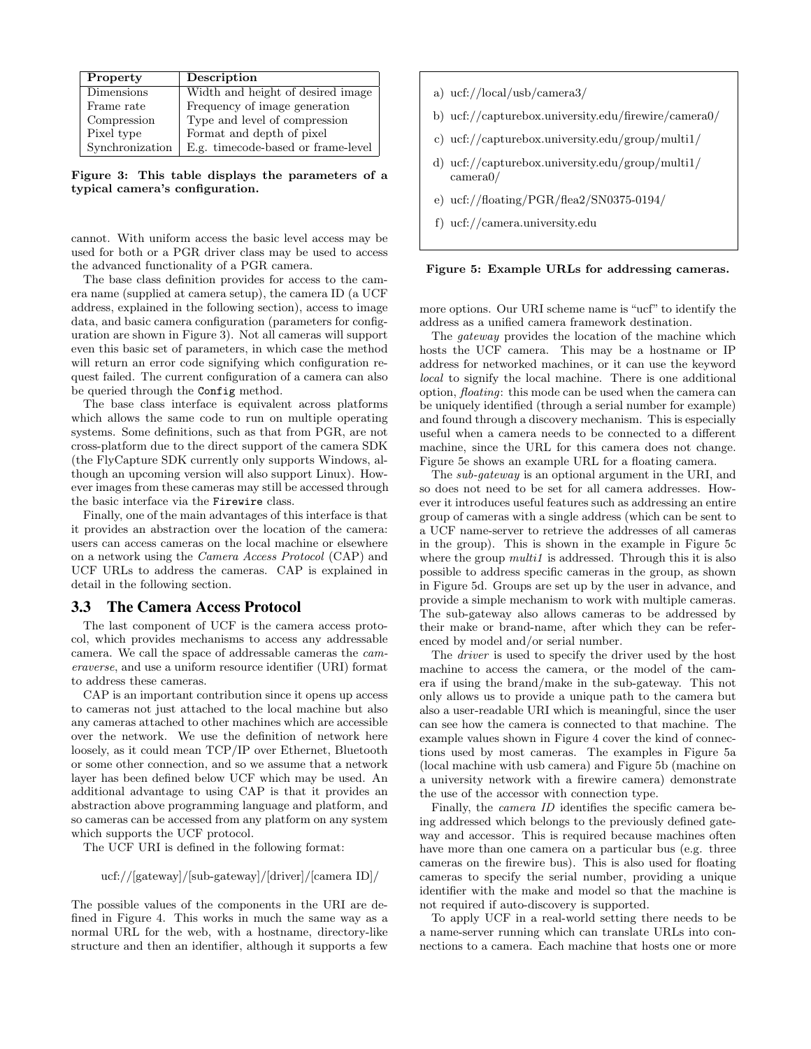| Property        | Description                        |  |  |
|-----------------|------------------------------------|--|--|
| Dimensions      | Width and height of desired image  |  |  |
| Frame rate      | Frequency of image generation      |  |  |
| Compression     | Type and level of compression      |  |  |
| Pixel type      | Format and depth of pixel          |  |  |
| Synchronization | E.g. timecode-based or frame-level |  |  |

Figure 3: This table displays the parameters of a typical camera's configuration.

cannot. With uniform access the basic level access may be used for both or a PGR driver class may be used to access the advanced functionality of a PGR camera.

The base class definition provides for access to the camera name (supplied at camera setup), the camera ID (a UCF address, explained in the following section), access to image data, and basic camera configuration (parameters for configuration are shown in Figure 3). Not all cameras will support even this basic set of parameters, in which case the method will return an error code signifying which configuration request failed. The current configuration of a camera can also be queried through the Config method.

The base class interface is equivalent across platforms which allows the same code to run on multiple operating systems. Some definitions, such as that from PGR, are not cross-platform due to the direct support of the camera SDK (the FlyCapture SDK currently only supports Windows, although an upcoming version will also support Linux). However images from these cameras may still be accessed through the basic interface via the Firewire class.

Finally, one of the main advantages of this interface is that it provides an abstraction over the location of the camera: users can access cameras on the local machine or elsewhere on a network using the Camera Access Protocol (CAP) and UCF URLs to address the cameras. CAP is explained in detail in the following section.

#### 3.3 The Camera Access Protocol

The last component of UCF is the camera access protocol, which provides mechanisms to access any addressable camera. We call the space of addressable cameras the cameraverse, and use a uniform resource identifier (URI) format to address these cameras.

CAP is an important contribution since it opens up access to cameras not just attached to the local machine but also any cameras attached to other machines which are accessible over the network. We use the definition of network here loosely, as it could mean TCP/IP over Ethernet, Bluetooth or some other connection, and so we assume that a network layer has been defined below UCF which may be used. An additional advantage to using CAP is that it provides an abstraction above programming language and platform, and so cameras can be accessed from any platform on any system which supports the UCF protocol.

The UCF URI is defined in the following format:

#### ucf://[gateway]/[sub-gateway]/[driver]/[camera ID]/

The possible values of the components in the URI are defined in Figure 4. This works in much the same way as a normal URL for the web, with a hostname, directory-like structure and then an identifier, although it supports a few

- a) ucf://local/usb/camera3/
- b) ucf://capturebox.university.edu/firewire/camera0/
- c) ucf://capturebox.university.edu/group/multi1/
- d) ucf://capturebox.university.edu/group/multi1/ camera0/
- e) ucf://floating/PGR/flea2/SN0375-0194/
- f) ucf://camera.university.edu

#### Figure 5: Example URLs for addressing cameras.

more options. Our URI scheme name is "ucf" to identify the address as a unified camera framework destination.

The *gateway* provides the location of the machine which hosts the UCF camera. This may be a hostname or IP address for networked machines, or it can use the keyword local to signify the local machine. There is one additional option, floating: this mode can be used when the camera can be uniquely identified (through a serial number for example) and found through a discovery mechanism. This is especially useful when a camera needs to be connected to a different machine, since the URL for this camera does not change. Figure 5e shows an example URL for a floating camera.

The sub-gateway is an optional argument in the URI, and so does not need to be set for all camera addresses. However it introduces useful features such as addressing an entire group of cameras with a single address (which can be sent to a UCF name-server to retrieve the addresses of all cameras in the group). This is shown in the example in Figure 5c where the group  $multi1$  is addressed. Through this it is also possible to address specific cameras in the group, as shown in Figure 5d. Groups are set up by the user in advance, and provide a simple mechanism to work with multiple cameras. The sub-gateway also allows cameras to be addressed by their make or brand-name, after which they can be referenced by model and/or serial number.

The driver is used to specify the driver used by the host machine to access the camera, or the model of the camera if using the brand/make in the sub-gateway. This not only allows us to provide a unique path to the camera but also a user-readable URI which is meaningful, since the user can see how the camera is connected to that machine. The example values shown in Figure 4 cover the kind of connections used by most cameras. The examples in Figure 5a (local machine with usb camera) and Figure 5b (machine on a university network with a firewire camera) demonstrate the use of the accessor with connection type.

Finally, the *camera ID* identifies the specific camera being addressed which belongs to the previously defined gateway and accessor. This is required because machines often have more than one camera on a particular bus (e.g. three cameras on the firewire bus). This is also used for floating cameras to specify the serial number, providing a unique identifier with the make and model so that the machine is not required if auto-discovery is supported.

To apply UCF in a real-world setting there needs to be a name-server running which can translate URLs into connections to a camera. Each machine that hosts one or more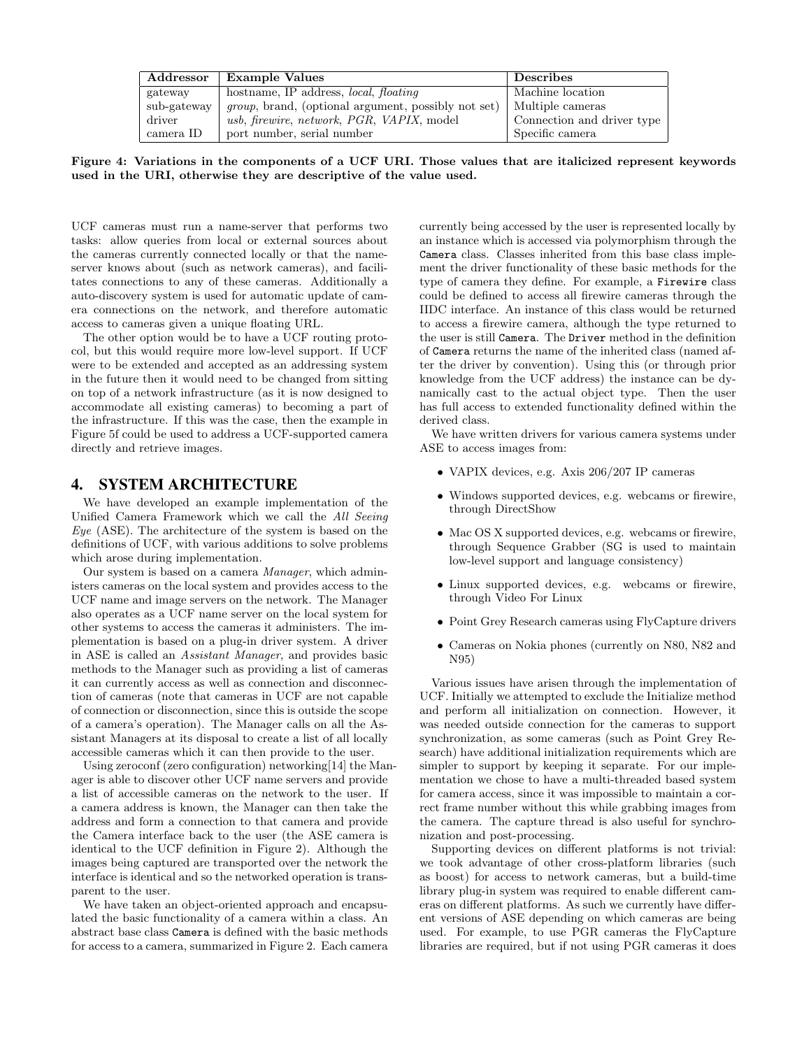| $\operatorname{Addressor}$ | <b>Example Values</b>                                       | Describes                  |
|----------------------------|-------------------------------------------------------------|----------------------------|
| gateway                    | hostname, IP address, <i>local</i> , <i>floating</i>        | Machine location           |
| sub-gateway                | <i>group</i> , brand, (optional argument, possibly not set) | Multiple cameras           |
| driver                     | usb, firewire, network, PGR, VAPIX, model                   | Connection and driver type |
| camera ID                  | port number, serial number                                  | Specific camera            |

Figure 4: Variations in the components of a UCF URI. Those values that are italicized represent keywords used in the URI, otherwise they are descriptive of the value used.

UCF cameras must run a name-server that performs two tasks: allow queries from local or external sources about the cameras currently connected locally or that the nameserver knows about (such as network cameras), and facilitates connections to any of these cameras. Additionally a auto-discovery system is used for automatic update of camera connections on the network, and therefore automatic access to cameras given a unique floating URL.

The other option would be to have a UCF routing protocol, but this would require more low-level support. If UCF were to be extended and accepted as an addressing system in the future then it would need to be changed from sitting on top of a network infrastructure (as it is now designed to accommodate all existing cameras) to becoming a part of the infrastructure. If this was the case, then the example in Figure 5f could be used to address a UCF-supported camera directly and retrieve images.

## 4. SYSTEM ARCHITECTURE

We have developed an example implementation of the Unified Camera Framework which we call the All Seeing Eye (ASE). The architecture of the system is based on the definitions of UCF, with various additions to solve problems which arose during implementation.

Our system is based on a camera Manager, which administers cameras on the local system and provides access to the UCF name and image servers on the network. The Manager also operates as a UCF name server on the local system for other systems to access the cameras it administers. The implementation is based on a plug-in driver system. A driver in ASE is called an Assistant Manager, and provides basic methods to the Manager such as providing a list of cameras it can currently access as well as connection and disconnection of cameras (note that cameras in UCF are not capable of connection or disconnection, since this is outside the scope of a camera's operation). The Manager calls on all the Assistant Managers at its disposal to create a list of all locally accessible cameras which it can then provide to the user.

Using zeroconf (zero configuration) networking[14] the Manager is able to discover other UCF name servers and provide a list of accessible cameras on the network to the user. If a camera address is known, the Manager can then take the address and form a connection to that camera and provide the Camera interface back to the user (the ASE camera is identical to the UCF definition in Figure 2). Although the images being captured are transported over the network the interface is identical and so the networked operation is transparent to the user.

We have taken an object-oriented approach and encapsulated the basic functionality of a camera within a class. An abstract base class Camera is defined with the basic methods for access to a camera, summarized in Figure 2. Each camera currently being accessed by the user is represented locally by an instance which is accessed via polymorphism through the Camera class. Classes inherited from this base class implement the driver functionality of these basic methods for the type of camera they define. For example, a Firewire class could be defined to access all firewire cameras through the IIDC interface. An instance of this class would be returned to access a firewire camera, although the type returned to the user is still Camera. The Driver method in the definition of Camera returns the name of the inherited class (named after the driver by convention). Using this (or through prior knowledge from the UCF address) the instance can be dynamically cast to the actual object type. Then the user has full access to extended functionality defined within the derived class.

We have written drivers for various camera systems under ASE to access images from:

- VAPIX devices, e.g. Axis 206/207 IP cameras
- Windows supported devices, e.g. webcams or firewire, through DirectShow
- Mac OS X supported devices, e.g. webcams or firewire, through Sequence Grabber (SG is used to maintain low-level support and language consistency)
- Linux supported devices, e.g. webcams or firewire, through Video For Linux
- Point Grey Research cameras using FlyCapture drivers
- Cameras on Nokia phones (currently on N80, N82 and N95)

Various issues have arisen through the implementation of UCF. Initially we attempted to exclude the Initialize method and perform all initialization on connection. However, it was needed outside connection for the cameras to support synchronization, as some cameras (such as Point Grey Research) have additional initialization requirements which are simpler to support by keeping it separate. For our implementation we chose to have a multi-threaded based system for camera access, since it was impossible to maintain a correct frame number without this while grabbing images from the camera. The capture thread is also useful for synchronization and post-processing.

Supporting devices on different platforms is not trivial: we took advantage of other cross-platform libraries (such as boost) for access to network cameras, but a build-time library plug-in system was required to enable different cameras on different platforms. As such we currently have different versions of ASE depending on which cameras are being used. For example, to use PGR cameras the FlyCapture libraries are required, but if not using PGR cameras it does